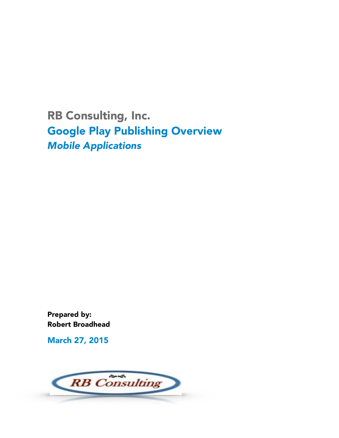RB Consulting, Inc. Google Play Publishing Overview *Mobile Applications*

Prepared by: Robert Broadhead

March 27, 2015

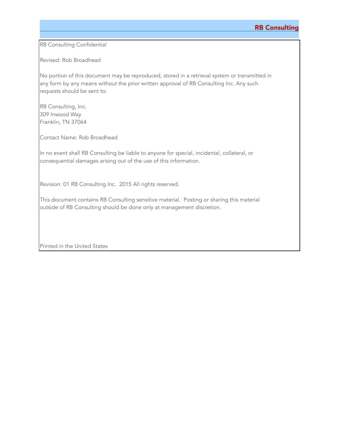## <u>RB Consulting (National Active Consulting ) and the consulting of the consulting of the consulting of the consulting of the consulting of the consulting of the consulting of the consulting of the consulting of the consult</u>

RB Consulting Confidential

Revised: Rob Broadhead

No portion of this document may be reproduced, stored in a retrieval system or transmitted in any form by any means without the prior written approval of RB Consulting Inc. Any such requests should be sent to:

RB Consulting, Inc. 309 Inwood Way Franklin, TN 37064

Contact Name: Rob Broadhead

In no event shall RB Consulting be liable to anyone for special, incidental, collateral, or consequential damages arising out of the use of this information.

Revision: 01 RB Consulting Inc. 2015 All rights reserved.

This document contains RB Consulting sensitive material. Posting or sharing this material outside of RB Consulting should be done only at management discretion.

Printed in the United States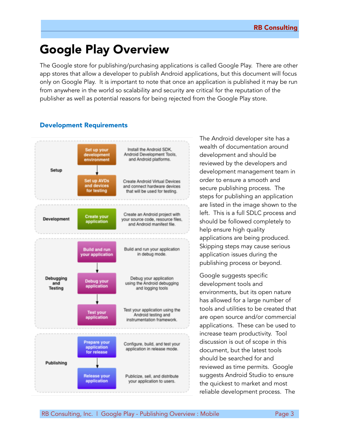# Google Play Overview

The Google store for publishing/purchasing applications is called Google Play. There are other app stores that allow a developer to publish Android applications, but this document will focus only on Google Play. It is important to note that once an application is published it may be run from anywhere in the world so scalability and security are critical for the reputation of the publisher as well as potential reasons for being rejected from the Google Play store.

## Development Requirements



The Android developer site has a wealth of documentation around development and should be reviewed by the developers and development management team in order to ensure a smooth and secure publishing process. The steps for publishing an application are listed in the image shown to the left. This is a full SDLC process and should be followed completely to help ensure high quality applications are being produced. Skipping steps may cause serious application issues during the publishing process or beyond.

Google suggests specific development tools and environments, but its open nature has allowed for a large number of tools and utilities to be created that are open source and/or commercial applications. These can be used to increase team productivity. Tool discussion is out of scope in this document, but the latest tools should be searched for and reviewed as time permits. Google suggests Android Studio to ensure the quickest to market and most reliable development process. The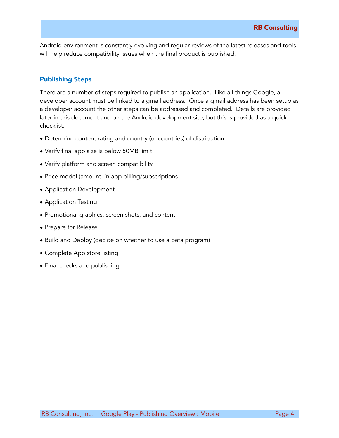Android environment is constantly evolving and regular reviews of the latest releases and tools will help reduce compatibility issues when the final product is published.

## Publishing Steps

There are a number of steps required to publish an application. Like all things Google, a developer account must be linked to a gmail address. Once a gmail address has been setup as a developer account the other steps can be addressed and completed. Details are provided later in this document and on the Android development site, but this is provided as a quick checklist.

- Determine content rating and country (or countries) of distribution
- Verify final app size is below 50MB limit
- Verify platform and screen compatibility
- Price model (amount, in app billing/subscriptions
- Application Development
- Application Testing
- Promotional graphics, screen shots, and content
- Prepare for Release
- Build and Deploy (decide on whether to use a beta program)
- Complete App store listing
- Final checks and publishing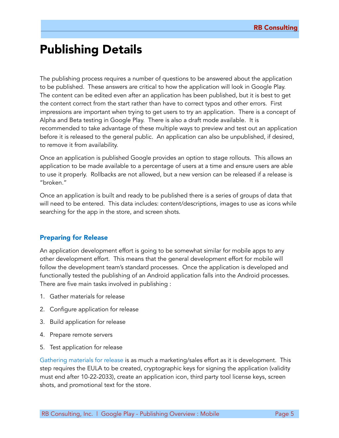## Publishing Details

The publishing process requires a number of questions to be answered about the application to be published. These answers are critical to how the application will look in Google Play. The content can be edited even after an application has been published, but it is best to get the content correct from the start rather than have to correct typos and other errors. First impressions are important when trying to get users to try an application. There is a concept of Alpha and Beta testing in Google Play. There is also a draft mode available. It is recommended to take advantage of these multiple ways to preview and test out an application before it is released to the general public. An application can also be unpublished, if desired, to remove it from availability.

Once an application is published Google provides an option to stage rollouts. This allows an application to be made available to a percentage of users at a time and ensure users are able to use it properly. Rollbacks are not allowed, but a new version can be released if a release is "broken."

Once an application is built and ready to be published there is a series of groups of data that will need to be entered. This data includes: content/descriptions, images to use as icons while searching for the app in the store, and screen shots.

### Preparing for Release

An application development effort is going to be somewhat similar for mobile apps to any other development effort. This means that the general development effort for mobile will follow the development team's standard processes. Once the application is developed and functionally tested the publishing of an Android application falls into the Android processes. There are five main tasks involved in publishing :

- 1. Gather materials for release
- 2. Configure application for release
- 3. Build application for release
- 4. Prepare remote servers
- 5. Test application for release

Gathering materials for release is as much a marketing/sales effort as it is development. This step requires the EULA to be created, cryptographic keys for signing the application (validity must end after 10-22-2033), create an application icon, third party tool license keys, screen shots, and promotional text for the store.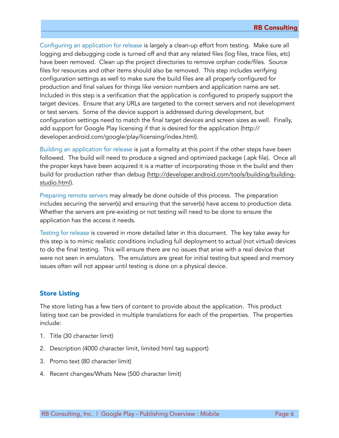Configuring an application for release is largely a clean-up effort from testing. Make sure all logging and debugging code is turned off and that any related files (log files, trace files, etc) have been removed. Clean up the project directories to remove orphan code/files. Source files for resources and other items should also be removed. This step includes verifying configuration settings as well to make sure the build files are all properly configured for production and final values for things like version numbers and application name are set. Included in this step is a verification that the application is configured to properly support the target devices. Ensure that any URLs are targeted to the correct servers and not development or test servers. Some of the device support is addressed during development, but configuration settings need to match the final target devices and screen sizes as well. Finally, add support for Google Play licensing if that is desired for the application (http:// developer.android.com/google/play/licensing/index.html).

Building an application for release is just a formality at this point if the other steps have been followed. The build will need to produce a signed and optimized package (.apk file). Once all the proper keys have been acquired it is a matter of incorporating those in the build and then [build for production rather than debug \(http://developer.android.com/tools/building/building](http://developer.android.com/tools/building/building-studio.html)studio.html).

Preparing remote servers may already be done outside of this process. The preparation includes securing the server(s) and ensuring that the server(s) have access to production data. Whether the servers are pre-existing or not testing will need to be done to ensure the application has the access it needs.

Testing for release is covered in more detailed later in this document. The key take away for this step is to mimic realistic conditions including full deployment to actual (not virtual) devices to do the final testing. This will ensure there are no issues that arise with a real device that were not seen in emulators. The emulators are great for initial testing but speed and memory issues often will not appear until testing is done on a physical device.

## Store Listing

The store listing has a few tiers of content to provide about the application. This product listing text can be provided in multiple translations for each of the properties. The properties include:

- 1. Title (30 character limit)
- 2. Description (4000 character limit, limited html tag support)
- 3. Promo text (80 character limit)
- 4. Recent changes/Whats New (500 character limit)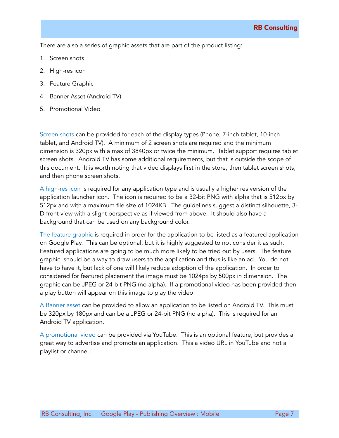There are also a series of graphic assets that are part of the product listing:

- 1. Screen shots
- 2. High-res icon
- 3. Feature Graphic
- 4. Banner Asset (Android TV)
- 5. Promotional Video

Screen shots can be provided for each of the display types (Phone, 7-inch tablet, 10-inch tablet, and Android TV). A minimum of 2 screen shots are required and the minimum dimension is 320px with a max of 3840px or twice the minimum. Tablet support requires tablet screen shots. Android TV has some additional requirements, but that is outside the scope of this document. It is worth noting that video displays first in the store, then tablet screen shots, and then phone screen shots.

A high-res icon is required for any application type and is usually a higher res version of the application launcher icon. The icon is required to be a 32-bit PNG with alpha that is 512px by 512px and with a maximum file size of 1024KB. The guidelines suggest a distinct silhouette, 3- D front view with a slight perspective as if viewed from above. It should also have a background that can be used on any background color.

The feature graphic is required in order for the application to be listed as a featured application on Google Play. This can be optional, but it is highly suggested to not consider it as such. Featured applications are going to be much more likely to be tried out by users. The feature graphic should be a way to draw users to the application and thus is like an ad. You do not have to have it, but lack of one will likely reduce adoption of the application. In order to considered for featured placement the image must be 1024px by 500px in dimension. The graphic can be JPEG or 24-bit PNG (no alpha). If a promotional video has been provided then a play button will appear on this image to play the video.

A Banner asset can be provided to allow an application to be listed on Android TV. This must be 320px by 180px and can be a JPEG or 24-bit PNG (no alpha). This is required for an Android TV application.

A promotional video can be provided via YouTube. This is an optional feature, but provides a great way to advertise and promote an application. This a video URL in YouTube and not a playlist or channel.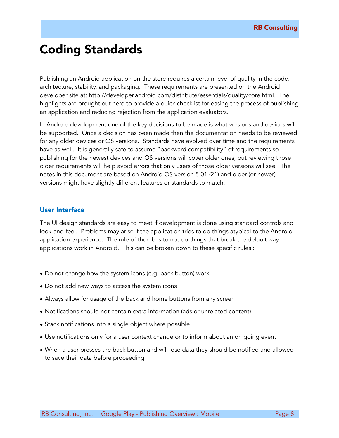## Coding Standards

Publishing an Android application on the store requires a certain level of quality in the code, architecture, stability, and packaging. These requirements are presented on the Android developer site at: [http://developer.android.com/distribute/essentials/quality/core.html.](http://developer.android.com/distribute/essentials/quality/core.html) The highlights are brought out here to provide a quick checklist for easing the process of publishing an application and reducing rejection from the application evaluators.

In Android development one of the key decisions to be made is what versions and devices will be supported. Once a decision has been made then the documentation needs to be reviewed for any older devices or OS versions. Standards have evolved over time and the requirements have as well. It is generally safe to assume "backward compatibility" of requirements so publishing for the newest devices and OS versions will cover older ones, but reviewing those older requirements will help avoid errors that only users of those older versions will see. The notes in this document are based on Android OS version 5.01 (21) and older (or newer) versions might have slightly different features or standards to match.

#### User Interface

The UI design standards are easy to meet if development is done using standard controls and look-and-feel. Problems may arise if the application tries to do things atypical to the Android application experience. The rule of thumb is to not do things that break the default way applications work in Android. This can be broken down to these specific rules :

- Do not change how the system icons (e.g. back button) work
- Do not add new ways to access the system icons
- Always allow for usage of the back and home buttons from any screen
- Notifications should not contain extra information (ads or unrelated content)
- Stack notifications into a single object where possible
- Use notifications only for a user context change or to inform about an on going event
- When a user presses the back button and will lose data they should be notified and allowed to save their data before proceeding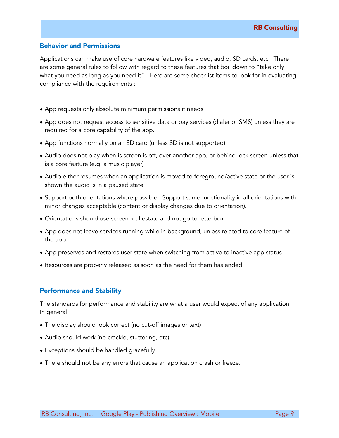#### Behavior and Permissions

Applications can make use of core hardware features like video, audio, SD cards, etc. There are some general rules to follow with regard to these features that boil down to "take only what you need as long as you need it". Here are some checklist items to look for in evaluating compliance with the requirements :

- App requests only absolute minimum permissions it needs
- App does not request access to sensitive data or pay services (dialer or SMS) unless they are required for a core capability of the app.
- App functions normally on an SD card (unless SD is not supported)
- Audio does not play when is screen is off, over another app, or behind lock screen unless that is a core feature (e.g. a music player)
- Audio either resumes when an application is moved to foreground/active state or the user is shown the audio is in a paused state
- Support both orientations where possible. Support same functionality in all orientations with minor changes acceptable (content or display changes due to orientation).
- Orientations should use screen real estate and not go to letterbox
- App does not leave services running while in background, unless related to core feature of the app.
- App preserves and restores user state when switching from active to inactive app status
- Resources are properly released as soon as the need for them has ended

### Performance and Stability

The standards for performance and stability are what a user would expect of any application. In general:

- The display should look correct (no cut-off images or text)
- Audio should work (no crackle, stuttering, etc)
- Exceptions should be handled gracefully
- There should not be any errors that cause an application crash or freeze.